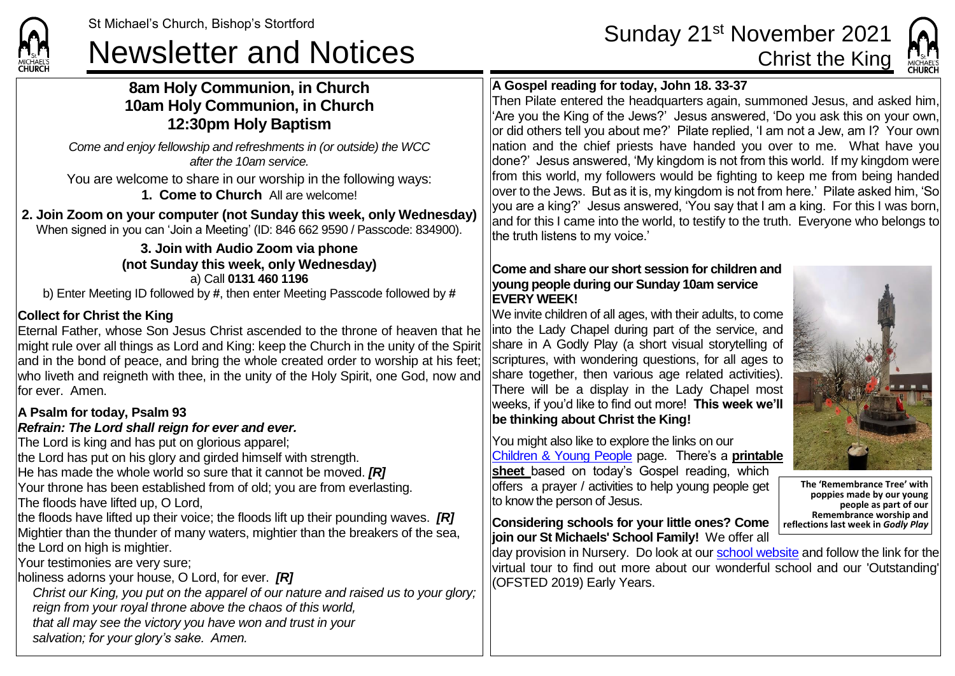**CHIIDCL** 

# St Michael's Church, Bishop's Stortford Sunday 21<sup>st</sup> November 2021<br>Newsletter and Notices Christ the King

# **8am Holy Communion, in Church 10am Holy Communion, in Church 12:30pm Holy Baptism**

*Come and enjoy fellowship and refreshments in (or outside) the WCC after the 10am service.*

You are welcome to share in our worship in the following ways:

**1. Come to Church** All are welcome!

**2. Join Zoom on your computer (not Sunday this week, only Wednesday)** When signed in you can 'Join a Meeting' (ID: 846 662 9590 / Passcode: 834900).

#### **3. Join with Audio Zoom via phone (not Sunday this week, only Wednesday)** a) Call **0131 460 1196**

b) Enter Meeting ID followed by **#**, then enter Meeting Passcode followed by **#**

# **Collect for Christ the King**

Eternal Father, whose Son Jesus Christ ascended to the throne of heaven that he might rule over all things as Lord and King: keep the Church in the unity of the Spirit and in the bond of peace, and bring the whole created order to worship at his feet; who liveth and reigneth with thee, in the unity of the Holy Spirit, one God, now and for ever. Amen.

### **A Psalm for today, Psalm 93**

### *Refrain: The Lord shall reign for ever and ever.*

The Lord is king and has put on glorious apparel;

the Lord has put on his glory and girded himself with strength.

He has made the whole world so sure that it cannot be moved. *[R]*

Your throne has been established from of old; you are from everlasting.

The floods have lifted up, O Lord,

the floods have lifted up their voice; the floods lift up their pounding waves. *[R]* Mightier than the thunder of many waters, mightier than the breakers of the sea. the Lord on high is mightier.

Your testimonies are very sure;

holiness adorns your house, O Lord, for ever. *[R]*

*Christ our King, you put on the apparel of our nature and raised us to your glory; reign from your royal throne above the chaos of this world, that all may see the victory you have won and trust in your salvation; for your glory's sake. Amen.*

**A Gospel reading for today, John 18. 33-37**

Then Pilate entered the headquarters again, summoned Jesus, and asked him, 'Are you the King of the Jews?' Jesus answered, 'Do you ask this on your own, or did others tell you about me?' Pilate replied, 'I am not a Jew, am I? Your own nation and the chief priests have handed you over to me. What have you done?' Jesus answered, 'My kingdom is not from this world. If my kingdom were from this world, my followers would be fighting to keep me from being handed  $\alpha$  over to the Jews. But as it is, my kingdom is not from here.' Pilate asked him, 'So you are a king?' Jesus answered, 'You say that I am a king. For this I was born, and for this I came into the world, to testify to the truth. Everyone who belongs to the truth listens to my voice.'

#### **Come and share our short session for children and young people during our Sunday 10am service EVERY WEEK!**

We invite children of all ages, with their adults, to come into the Lady Chapel during part of the service, and share in A Godly Play (a short visual storytelling of scriptures, with wondering questions, for all ages to share together, then various age related activities). There will be a display in the Lady Chapel most weeks, if you'd like to find out more! **This week we'll be thinking about Christ the King!**

You might also like to explore the links on our [Children & Young People](https://saintmichaelweb.org.uk/Groups/310496/Children_and_Young.aspx) page. There's a **[printable](https://saintmichaelweb.org.uk/Groups/310496/Children_and_Young.aspx)  [sheet](https://saintmichaelweb.org.uk/Groups/310496/Children_and_Young.aspx)** based on today's Gospel reading, which offers a prayer / activities to help young people get to know the person of Jesus.

**Considering schools for your little ones? Come join our St Michaels' School Family!** We offer all

day provision in Nursery. Do look at ou[r school website](https://www.stmichaelsjmi.herts.sch.uk/) and follow the link for the virtual tour to find out more about our wonderful school and our 'Outstanding' (OFSTED 2019) Early Years.

**The 'Remembrance Tree' with poppies made by our young people as part of our Remembrance worship and reflections last week in** *Godly Play*